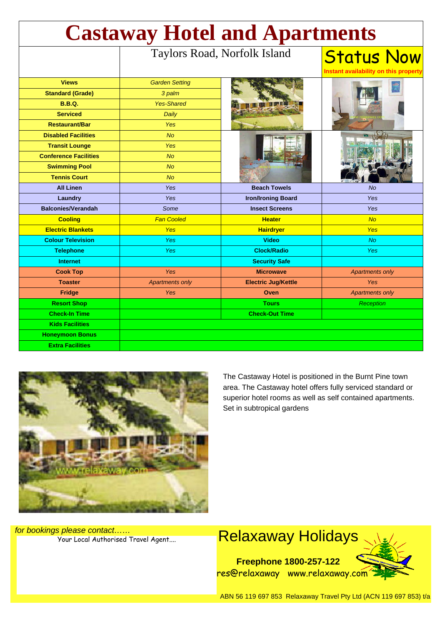| <b>Castaway Hotel and Apartments</b> |                              |                            |                                                            |
|--------------------------------------|------------------------------|----------------------------|------------------------------------------------------------|
|                                      | Taylors Road, Norfolk Island |                            | <b>Status Now</b><br>Instant availability on this property |
| <b>Views</b>                         | <b>Garden Setting</b>        |                            |                                                            |
| <b>Standard (Grade)</b>              | 3 palm                       |                            |                                                            |
| <b>B.B.Q.</b>                        | <b>Yes-Shared</b>            |                            |                                                            |
| <b>Serviced</b>                      | Daily                        |                            |                                                            |
| <b>Restaurant/Bar</b>                | <b>Yes</b>                   |                            |                                                            |
| <b>Disabled Facilities</b>           | <b>No</b>                    |                            |                                                            |
| <b>Transit Lounge</b>                | <b>Yes</b>                   |                            |                                                            |
| <b>Conference Facilities</b>         | <b>No</b>                    |                            |                                                            |
| <b>Swimming Pool</b>                 | <b>No</b>                    |                            |                                                            |
| <b>Tennis Court</b>                  | No                           |                            |                                                            |
| <b>All Linen</b>                     | Yes                          | <b>Beach Towels</b>        | <b>No</b>                                                  |
| Laundry                              | Yes                          | <b>Iron/Ironing Board</b>  | <b>Yes</b>                                                 |
| <b>Balconies/Verandah</b>            | Some                         | <b>Insect Screens</b>      | <b>Yes</b>                                                 |
| <b>Cooling</b>                       | <b>Fan Cooled</b>            | <b>Heater</b>              | No                                                         |
| <b>Electric Blankets</b>             | Yes                          | <b>Hairdryer</b>           | <b>Yes</b>                                                 |
| <b>Colour Television</b>             | <b>Yes</b>                   | <b>Video</b>               | No                                                         |
| <b>Telephone</b>                     | Yes                          | <b>Clock/Radio</b>         | <b>Yes</b>                                                 |
| <b>Internet</b>                      |                              | <b>Security Safe</b>       |                                                            |
| <b>Cook Top</b>                      | Yes                          | <b>Microwave</b>           | <b>Apartments only</b>                                     |
| <b>Toaster</b>                       | <b>Apartments only</b>       | <b>Electric Jug/Kettle</b> | <b>Yes</b>                                                 |
| <b>Fridge</b>                        | Yes                          | Oven                       | <b>Apartments only</b>                                     |
| <b>Resort Shop</b>                   |                              | <b>Tours</b>               | <b>Reception</b>                                           |
| <b>Check-In Time</b>                 |                              | <b>Check-Out Time</b>      |                                                            |
| <b>Kids Facilities</b>               |                              |                            |                                                            |
| <b>Honeymoon Bonus</b>               |                              |                            |                                                            |
| <b>Extra Facilities</b>              |                              |                            |                                                            |



The Castaway Hotel is positioned in the Burnt Pine town area. The Castaway hotel offers fully serviced standard or superior hotel rooms as well as self contained apartments. Set in subtropical gardens

for bookings please contact……